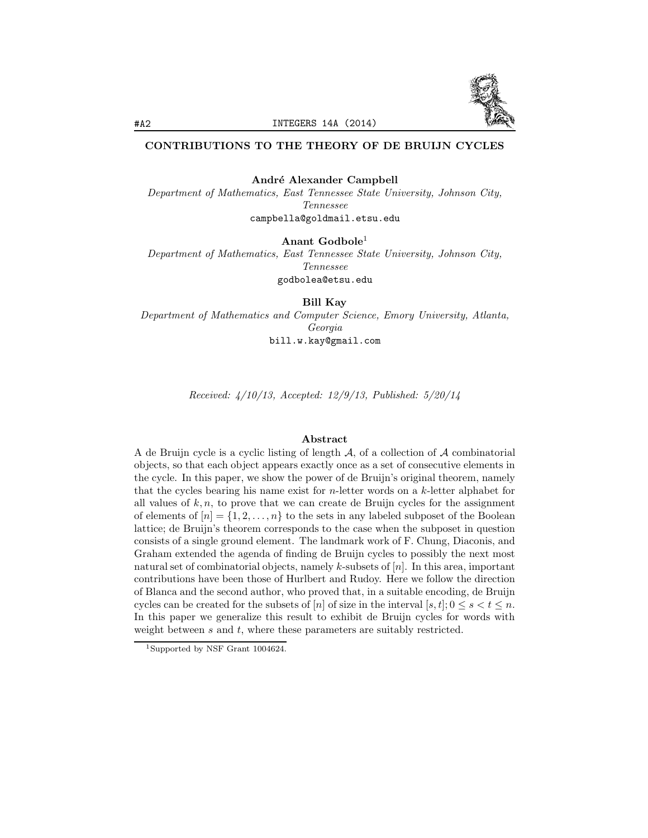

# CONTRIBUTIONS TO THE THEORY OF DE BRUIJN CYCLES

André Alexander Campbell

Department of Mathematics, East Tennessee State University, Johnson City, Tennessee campbella@goldmail.etsu.edu

Anant Godbole<sup>1</sup>

Department of Mathematics, East Tennessee State University, Johnson City, Tennessee godbolea@etsu.edu

Bill Kay

Department of Mathematics and Computer Science, Emory University, Atlanta, Georgia bill.w.kay@gmail.com

Received: 4/10/13, Accepted: 12/9/13, Published: 5/20/14

## Abstract

A de Bruijn cycle is a cyclic listing of length  $A$ , of a collection of  $A$  combinatorial objects, so that each object appears exactly once as a set of consecutive elements in the cycle. In this paper, we show the power of de Bruijn's original theorem, namely that the cycles bearing his name exist for  $n$ -letter words on a  $k$ -letter alphabet for all values of  $k, n$ , to prove that we can create de Bruijn cycles for the assignment of elements of  $[n] = \{1, 2, ..., n\}$  to the sets in any labeled subposet of the Boolean lattice; de Bruijn's theorem corresponds to the case when the subposet in question consists of a single ground element. The landmark work of F. Chung, Diaconis, and Graham extended the agenda of finding de Bruijn cycles to possibly the next most natural set of combinatorial objects, namely k-subsets of  $[n]$ . In this area, important contributions have been those of Hurlbert and Rudoy. Here we follow the direction of Blanca and the second author, who proved that, in a suitable encoding, de Bruijn cycles can be created for the subsets of [n] of size in the interval  $[s, t]$ ;  $0 \le s < t \le n$ . In this paper we generalize this result to exhibit de Bruijn cycles for words with weight between  $s$  and  $t$ , where these parameters are suitably restricted.

<sup>1</sup>Supported by NSF Grant 1004624.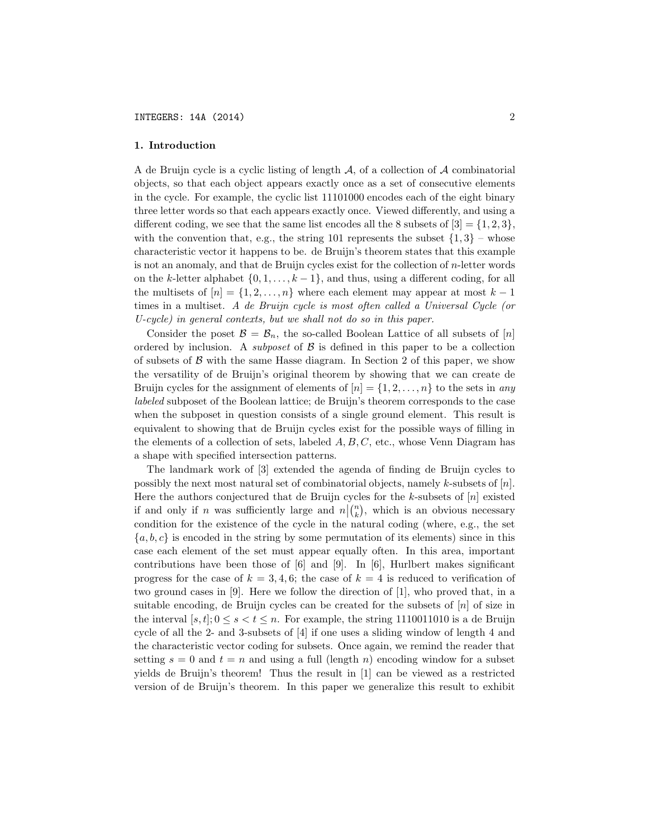#### 1. Introduction

A de Bruijn cycle is a cyclic listing of length  $A$ , of a collection of  $A$  combinatorial objects, so that each object appears exactly once as a set of consecutive elements in the cycle. For example, the cyclic list 11101000 encodes each of the eight binary three letter words so that each appears exactly once. Viewed differently, and using a different coding, we see that the same list encodes all the 8 subsets of  $[3] = \{1, 2, 3\}$ , with the convention that, e.g., the string 101 represents the subset  $\{1,3\}$  – whose characteristic vector it happens to be. de Bruijn's theorem states that this example is not an anomaly, and that de Bruijn cycles exist for the collection of n-letter words on the k-letter alphabet  $\{0, 1, \ldots, k-1\}$ , and thus, using a different coding, for all the multisets of  $[n] = \{1, 2, ..., n\}$  where each element may appear at most  $k - 1$ times in a multiset. A de Bruijn cycle is most often called a Universal Cycle (or U-cycle) in general contexts, but we shall not do so in this paper.

Consider the poset  $\mathcal{B} = \mathcal{B}_n$ , the so-called Boolean Lattice of all subsets of [n] ordered by inclusion. A *subposet* of  $\beta$  is defined in this paper to be a collection of subsets of  $\beta$  with the same Hasse diagram. In Section 2 of this paper, we show the versatility of de Bruijn's original theorem by showing that we can create de Bruijn cycles for the assignment of elements of  $[n] = \{1, 2, ..., n\}$  to the sets in any labeled subposet of the Boolean lattice; de Bruijn's theorem corresponds to the case when the subposet in question consists of a single ground element. This result is equivalent to showing that de Bruijn cycles exist for the possible ways of filling in the elements of a collection of sets, labeled  $A, B, C$ , etc., whose Venn Diagram has a shape with specified intersection patterns.

The landmark work of [3] extended the agenda of finding de Bruijn cycles to possibly the next most natural set of combinatorial objects, namely  $k$ -subsets of  $[n]$ . Here the authors conjectured that de Bruijn cycles for the  $k$ -subsets of  $[n]$  existed if and only if n was sufficiently large and  $n|(n)$ , which is an obvious necessary condition for the existence of the cycle in the natural coding (where, e.g., the set  ${a, b, c}$  is encoded in the string by some permutation of its elements) since in this case each element of the set must appear equally often. In this area, important contributions have been those of  $[6]$  and  $[9]$ . In  $[6]$ , Hurlbert makes significant progress for the case of  $k = 3, 4, 6$ ; the case of  $k = 4$  is reduced to verification of two ground cases in [9]. Here we follow the direction of [1], who proved that, in a suitable encoding, de Bruijn cycles can be created for the subsets of  $[n]$  of size in the interval  $[s, t]; 0 \le s < t \le n$ . For example, the string 1110011010 is a de Bruijn cycle of all the 2- and 3-subsets of [4] if one uses a sliding window of length 4 and the characteristic vector coding for subsets. Once again, we remind the reader that setting  $s = 0$  and  $t = n$  and using a full (length n) encoding window for a subset yields de Bruijn's theorem! Thus the result in [1] can be viewed as a restricted version of de Bruijn's theorem. In this paper we generalize this result to exhibit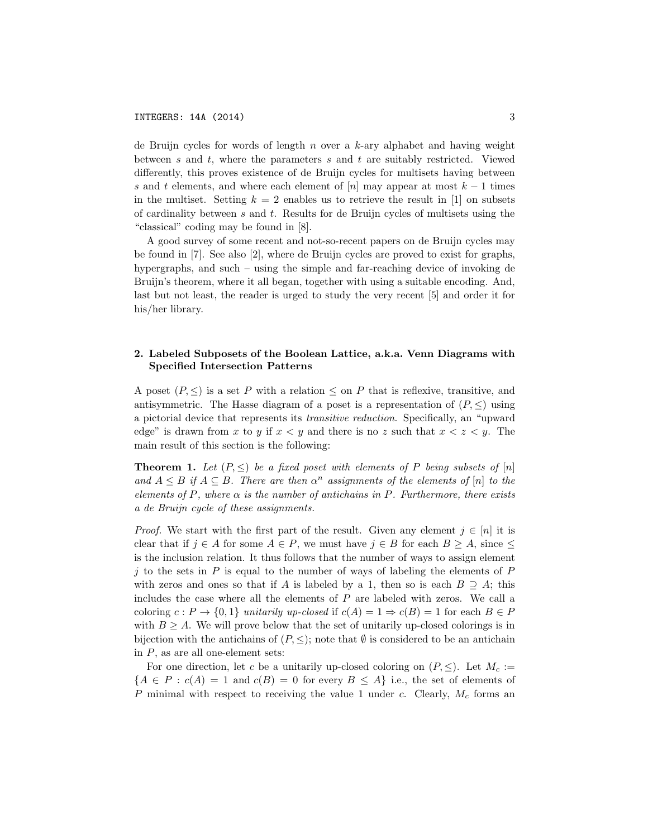de Bruijn cycles for words of length  $n$  over a  $k$ -ary alphabet and having weight between s and t, where the parameters s and t are suitably restricted. Viewed differently, this proves existence of de Bruijn cycles for multisets having between s and t elements, and where each element of  $[n]$  may appear at most  $k-1$  times in the multiset. Setting  $k = 2$  enables us to retrieve the result in [1] on subsets of cardinality between  $s$  and  $t$ . Results for de Bruijn cycles of multisets using the "classical" coding may be found in [8].

A good survey of some recent and not-so-recent papers on de Bruijn cycles may be found in [7]. See also [2], where de Bruijn cycles are proved to exist for graphs, hypergraphs, and such – using the simple and far-reaching device of invoking de Bruijn's theorem, where it all began, together with using a suitable encoding. And, last but not least, the reader is urged to study the very recent [5] and order it for his/her library.

## 2. Labeled Subposets of the Boolean Lattice, a.k.a. Venn Diagrams with Specified Intersection Patterns

A poset  $(P, \leq)$  is a set P with a relation  $\leq$  on P that is reflexive, transitive, and antisymmetric. The Hasse diagram of a poset is a representation of  $(P, \leq)$  using a pictorial device that represents its transitive reduction. Specifically, an "upward edge" is drawn from x to y if  $x < y$  and there is no z such that  $x < z < y$ . The main result of this section is the following:

**Theorem 1.** Let  $(P, \leq)$  be a fixed poset with elements of P being subsets of  $[n]$ and  $A \leq B$  if  $A \subseteq B$ . There are then  $\alpha^n$  assignments of the elements of  $[n]$  to the elements of P, where  $\alpha$  is the number of antichains in P. Furthermore, there exists a de Bruijn cycle of these assignments.

*Proof.* We start with the first part of the result. Given any element  $j \in [n]$  it is clear that if  $j \in A$  for some  $A \in P$ , we must have  $j \in B$  for each  $B \geq A$ , since  $\leq$ is the inclusion relation. It thus follows that the number of ways to assign element j to the sets in  $P$  is equal to the number of ways of labeling the elements of  $P$ with zeros and ones so that if A is labeled by a 1, then so is each  $B \supseteq A$ ; this includes the case where all the elements of P are labeled with zeros. We call a coloring  $c : P \to \{0,1\}$  unitarily up-closed if  $c(A)=1 \Rightarrow c(B)=1$  for each  $B \in P$ with  $B \geq A$ . We will prove below that the set of unitarily up-closed colorings is in bijection with the antichains of  $(P, \leq)$ ; note that  $\emptyset$  is considered to be an antichain in  $P$ , as are all one-element sets:

For one direction, let c be a unitarily up-closed coloring on  $(P, \leq)$ . Let  $M_c :=$  ${A \in P : c(A) = 1 \text{ and } c(B) = 0 \text{ for every } B \leq A}$  i.e., the set of elements of  $P$  minimal with respect to receiving the value 1 under c. Clearly,  $M_c$  forms an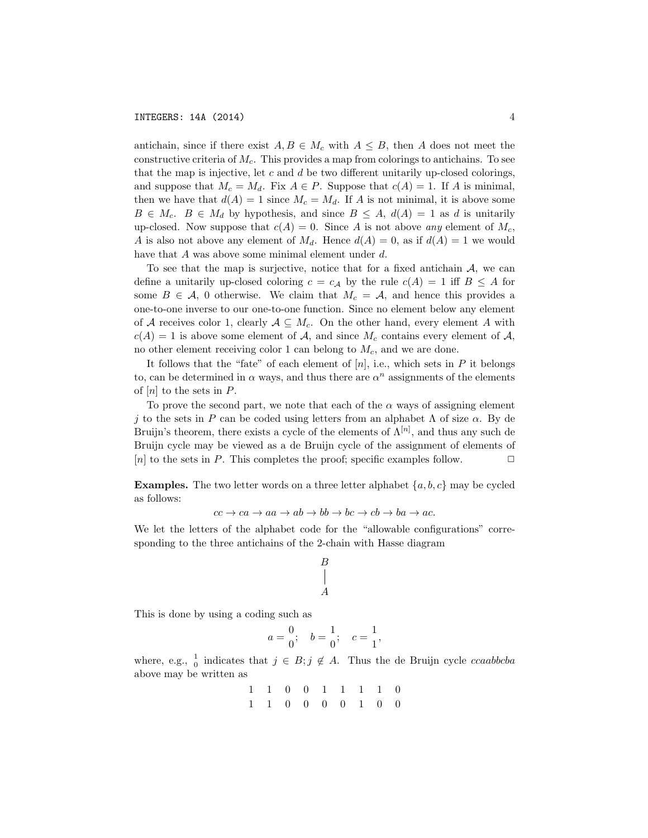antichain, since if there exist  $A, B \in M_c$  with  $A \leq B$ , then A does not meet the constructive criteria of  $M_c$ . This provides a map from colorings to antichains. To see that the map is injective, let  $c$  and  $d$  be two different unitarily up-closed colorings, and suppose that  $M_c = M_d$ . Fix  $A \in P$ . Suppose that  $c(A) = 1$ . If A is minimal, then we have that  $d(A) = 1$  since  $M_c = M_d$ . If A is not minimal, it is above some  $B \in M_c$ .  $B \in M_d$  by hypothesis, and since  $B \leq A$ ,  $d(A) = 1$  as d is unitarily up-closed. Now suppose that  $c(A) = 0$ . Since A is not above any element of  $M_c$ , A is also not above any element of  $M_d$ . Hence  $d(A) = 0$ , as if  $d(A) = 1$  we would have that A was above some minimal element under d.

To see that the map is surjective, notice that for a fixed antichain  $A$ , we can define a unitarily up-closed coloring  $c = c_A$  by the rule  $c(A) = 1$  iff  $B \leq A$  for some  $B \in \mathcal{A}$ , 0 otherwise. We claim that  $M_c = \mathcal{A}$ , and hence this provides a one-to-one inverse to our one-to-one function. Since no element below any element of A receives color 1, clearly  $A \subseteq M_c$ . On the other hand, every element A with  $c(A) = 1$  is above some element of A, and since  $M_c$  contains every element of A, no other element receiving color 1 can belong to  $M_c$ , and we are done.

It follows that the "fate" of each element of  $[n]$ , i.e., which sets in  $P$  it belongs to, can be determined in  $\alpha$  ways, and thus there are  $\alpha^n$  assignments of the elements of  $[n]$  to the sets in  $P$ .

To prove the second part, we note that each of the  $\alpha$  ways of assigning element j to the sets in P can be coded using letters from an alphabet  $\Lambda$  of size  $\alpha$ . By de Bruijn's theorem, there exists a cycle of the elements of  $\Lambda^{[n]}$ , and thus any such de Bruijn cycle may be viewed as a de Bruijn cycle of the assignment of elements of [n] to the sets in P. This completes the proof; specific examples follow.  $\Box$ 

**Examples.** The two letter words on a three letter alphabet  $\{a, b, c\}$  may be cycled as follows:

$$
cc \to ca \to aa \to ab \to bb \to bc \to cb \to ba \to ac.
$$

We let the letters of the alphabet code for the "allowable configurations" corresponding to the three antichains of the 2-chain with Hasse diagram

$$
\begin{matrix} B \\ | \\ A \end{matrix}
$$

This is done by using a coding such as

$$
a = \frac{0}{0};
$$
  $b = \frac{1}{0};$   $c = \frac{1}{1},$ 

where, e.g.,  $\frac{1}{0}$  indicates that  $j \in B; j \notin A$ . Thus the de Bruijn cycle *ccaabbcba* above may be written as

$$
\begin{array}{cccccccc}\n1 & 1 & 0 & 0 & 1 & 1 & 1 & 1 & 0 \\
1 & 1 & 0 & 0 & 0 & 0 & 1 & 0 & 0\n\end{array}
$$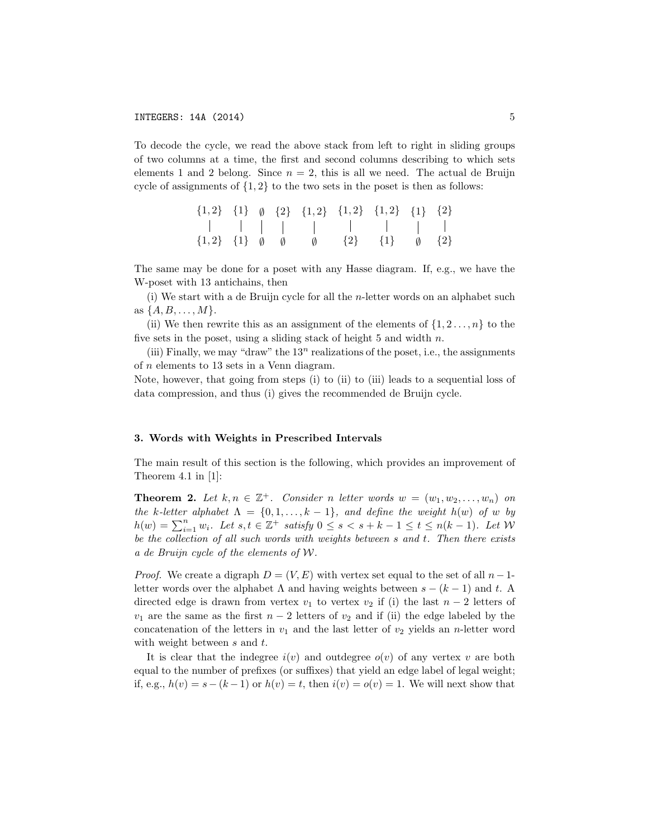To decode the cycle, we read the above stack from left to right in sliding groups of two columns at a time, the first and second columns describing to which sets elements 1 and 2 belong. Since  $n = 2$ , this is all we need. The actual de Bruijn cycle of assignments of  $\{1,2\}$  to the two sets in the poset is then as follows:

|  |  |  | $\{1,2\}$ $\{1\}$ $\emptyset$ $\{2\}$ $\{1,2\}$ $\{1,2\}$ $\{1,2\}$ $\{1\}$ $\{2\}$       |  |
|--|--|--|-------------------------------------------------------------------------------------------|--|
|  |  |  |                                                                                           |  |
|  |  |  | $\{1,2\}$ $\{1\}$ $\emptyset$ $\emptyset$ $\emptyset$ $\{2\}$ $\{1\}$ $\emptyset$ $\{2\}$ |  |

The same may be done for a poset with any Hasse diagram. If, e.g., we have the W-poset with 13 antichains, then

(i) We start with a de Bruijn cycle for all the n-letter words on an alphabet such as  $\{A, B, \ldots, M\}.$ 

(ii) We then rewrite this as an assignment of the elements of  $\{1, 2, \ldots, n\}$  to the five sets in the poset, using a sliding stack of height 5 and width  $n$ .

(iii) Finally, we may "draw" the  $13^n$  realizations of the poset, i.e., the assignments of n elements to 13 sets in a Venn diagram.

Note, however, that going from steps (i) to (ii) to (iii) leads to a sequential loss of data compression, and thus (i) gives the recommended de Bruijn cycle.

#### 3. Words with Weights in Prescribed Intervals

The main result of this section is the following, which provides an improvement of Theorem 4.1 in [1]:

**Theorem 2.** Let  $k, n \in \mathbb{Z}^+$ . Consider n letter words  $w = (w_1, w_2, \ldots, w_n)$  on the k-letter alphabet  $\Lambda = \{0, 1, \ldots, k-1\}$ , and define the weight  $h(w)$  of w by  $h(w) = \sum_{i=1}^{n} w_i$ . Let  $s, t \in \mathbb{Z}^+$  satisfy  $0 \le s < s + k - 1 \le t \le n(k - 1)$ . Let W be the collection of all such words with weights between s and t. Then there exists a de Bruijn cycle of the elements of W.

*Proof.* We create a digraph  $D = (V, E)$  with vertex set equal to the set of all  $n-1$ letter words over the alphabet  $\Lambda$  and having weights between  $s - (k - 1)$  and t. A directed edge is drawn from vertex  $v_1$  to vertex  $v_2$  if (i) the last  $n-2$  letters of  $v_1$  are the same as the first  $n-2$  letters of  $v_2$  and if (ii) the edge labeled by the concatenation of the letters in  $v_1$  and the last letter of  $v_2$  yields an n-letter word with weight between s and t.

It is clear that the indegree  $i(v)$  and outdegree  $o(v)$  of any vertex v are both equal to the number of prefixes (or suffixes) that yield an edge label of legal weight; if, e.g.,  $h(v) = s - (k-1)$  or  $h(v) = t$ , then  $i(v) = o(v) = 1$ . We will next show that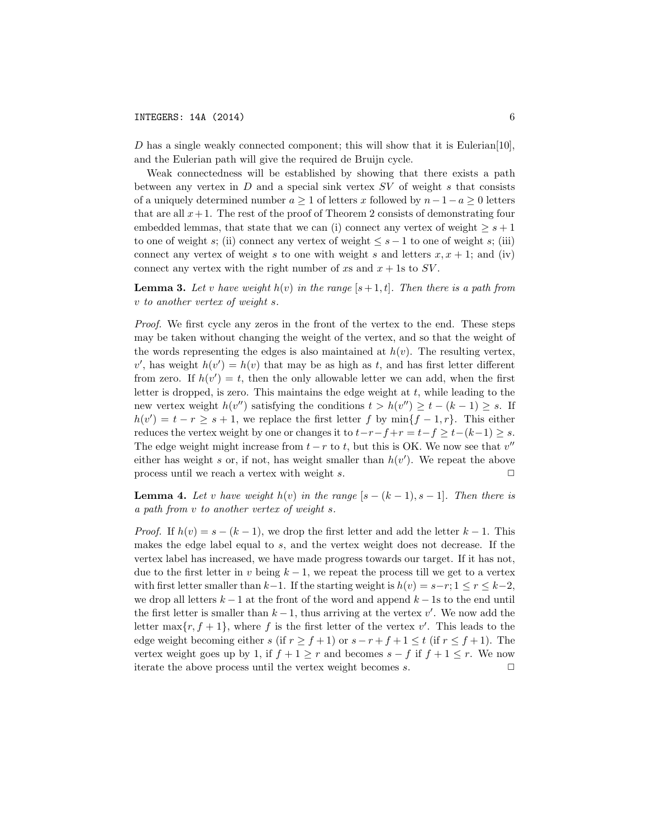D has a single weakly connected component; this will show that it is Eulerian[10], and the Eulerian path will give the required de Bruijn cycle.

Weak connectedness will be established by showing that there exists a path between any vertex in  $D$  and a special sink vertex  $SV$  of weight s that consists of a uniquely determined number  $a \geq 1$  of letters x followed by  $n-1-a \geq 0$  letters that are all  $x+1$ . The rest of the proof of Theorem 2 consists of demonstrating four embedded lemmas, that state that we can (i) connect any vertex of weight  $\geq s+1$ to one of weight s; (ii) connect any vertex of weight  $\leq s-1$  to one of weight s; (iii) connect any vertex of weight s to one with weight s and letters  $x, x + 1$ ; and (iv) connect any vertex with the right number of xs and  $x + 1$ s to SV.

**Lemma 3.** Let v have weight  $h(v)$  in the range  $[s+1, t]$ . Then there is a path from v to another vertex of weight s.

Proof. We first cycle any zeros in the front of the vertex to the end. These steps may be taken without changing the weight of the vertex, and so that the weight of the words representing the edges is also maintained at  $h(v)$ . The resulting vertex,  $v'$ , has weight  $h(v') = h(v)$  that may be as high as t, and has first letter different from zero. If  $h(v') = t$ , then the only allowable letter we can add, when the first letter is dropped, is zero. This maintains the edge weight at  $t$ , while leading to the new vertex weight  $h(v'')$  satisfying the conditions  $t > h(v'') \geq t - (k - 1) \geq s$ . If  $h(v') = t - r \geq s + 1$ , we replace the first letter f by  $\min\{f - 1, r\}$ . This either reduces the vertex weight by one or changes it to  $t-r-f+r = t-f \ge t-(k-1) \ge s$ . The edge weight might increase from  $t - r$  to t, but this is OK. We now see that  $v''$ either has weight s or, if not, has weight smaller than  $h(v')$ . We repeat the above process until we reach a vertex with weight s.  $\Box$ 

**Lemma 4.** Let v have weight  $h(v)$  in the range  $[s - (k-1), s-1]$ . Then there is a path from v to another vertex of weight s.

*Proof.* If  $h(v) = s - (k-1)$ , we drop the first letter and add the letter  $k-1$ . This makes the edge label equal to s, and the vertex weight does not decrease. If the vertex label has increased, we have made progress towards our target. If it has not, due to the first letter in v being  $k-1$ , we repeat the process till we get to a vertex with first letter smaller than  $k-1$ . If the starting weight is  $h(v) = s-r$ ;  $1 \le r \le k-2$ , we drop all letters  $k-1$  at the front of the word and append  $k-1$ s to the end until the first letter is smaller than  $k-1$ , thus arriving at the vertex  $v'$ . We now add the letter  $\max\{r, f+1\}$ , where f is the first letter of the vertex  $v'$ . This leads to the edge weight becoming either s (if  $r \ge f+1$ ) or  $s-r+f+1 \le t$  (if  $r \le f+1$ ). The vertex weight goes up by 1, if  $f + 1 \ge r$  and becomes  $s - f$  if  $f + 1 \le r$ . We now iterate the above process until the vertex weight becomes  $s$ . iterate the above process until the vertex weight becomes s.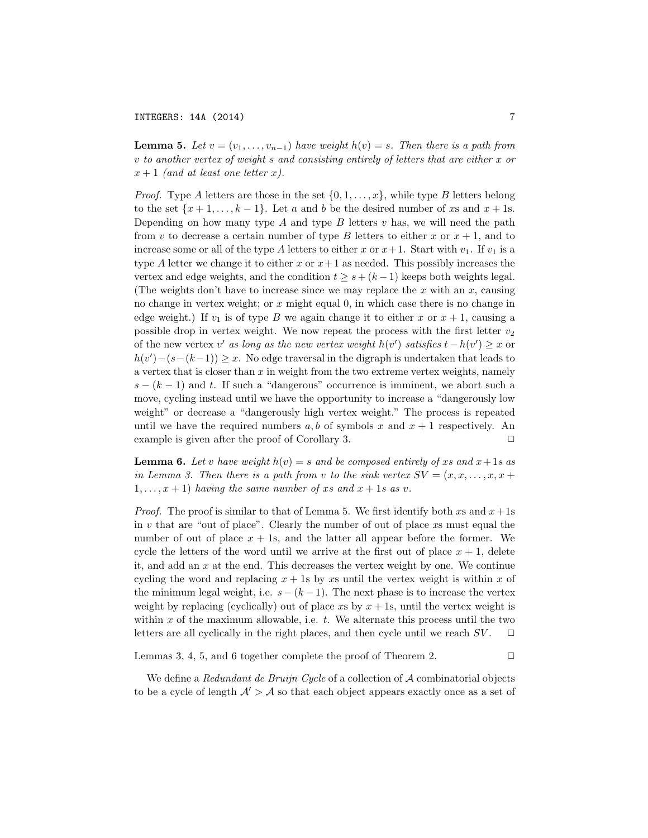**Lemma 5.** Let  $v = (v_1, \ldots, v_{n-1})$  have weight  $h(v) = s$ . Then there is a path from v to another vertex of weight s and consisting entirely of letters that are either x or  $x + 1$  (and at least one letter x).

*Proof.* Type A letters are those in the set  $\{0, 1, \ldots, x\}$ , while type B letters belong to the set  $\{x+1,\ldots,k-1\}$ . Let a and b be the desired number of xs and  $x+1$ s. Depending on how many type  $A$  and type  $B$  letters  $v$  has, we will need the path from v to decrease a certain number of type B letters to either x or  $x + 1$ , and to increase some or all of the type A letters to either x or  $x+1$ . Start with  $v_1$ . If  $v_1$  is a type A letter we change it to either x or  $x+1$  as needed. This possibly increases the vertex and edge weights, and the condition  $t \geq s + (k-1)$  keeps both weights legal. (The weights don't have to increase since we may replace the  $x$  with an  $x$ , causing no change in vertex weight; or  $x$  might equal 0, in which case there is no change in edge weight.) If  $v_1$  is of type B we again change it to either x or  $x + 1$ , causing a possible drop in vertex weight. We now repeat the process with the first letter  $v_2$ of the new vertex  $v'$  as long as the new vertex weight  $h(v')$  satisfies  $t - h(v') \geq x$  or  $h(v') - (s - (k-1)) \geq x$ . No edge traversal in the digraph is undertaken that leads to a vertex that is closer than  $x$  in weight from the two extreme vertex weights, namely  $s - (k-1)$  and t. If such a "dangerous" occurrence is imminent, we abort such a move, cycling instead until we have the opportunity to increase a "dangerously low weight" or decrease a "dangerously high vertex weight." The process is repeated until we have the required numbers a, b of symbols x and  $x + 1$  respectively. An example is given after the proof of Corollary 3.  $\Box$ 

**Lemma 6.** Let v have weight  $h(v) = s$  and be composed entirely of xs and  $x + 1s$  as in Lemma 3. Then there is a path from v to the sink vertex  $SV = (x, x, \ldots, x, x +$  $1,\ldots,x+1$ ) having the same number of xs and  $x+1$ s as v.

*Proof.* The proof is similar to that of Lemma 5. We first identify both xs and  $x + 1s$ in  $v$  that are "out of place". Clearly the number of out of place  $x_s$  must equal the number of out of place  $x + 1$ s, and the latter all appear before the former. We cycle the letters of the word until we arrive at the first out of place  $x + 1$ , delete it, and add an  $x$  at the end. This decreases the vertex weight by one. We continue cycling the word and replacing  $x + 1$ s by xs until the vertex weight is within x of the minimum legal weight, i.e.  $s - (k-1)$ . The next phase is to increase the vertex weight by replacing (cyclically) out of place  $xs$  by  $x + 1s$ , until the vertex weight is within  $x$  of the maximum allowable, i.e.  $t$ . We alternate this process until the two letters are all cyclically in the right places, and then cycle until we reach  $SV$ .  $\Box$ 

Lemmas 3, 4, 5, and 6 together complete the proof of Theorem 2.  $\Box$ 

We define a Redundant de Bruijn Cycle of a collection of  $A$  combinatorial objects to be a cycle of length  $A' > A$  so that each object appears exactly once as a set of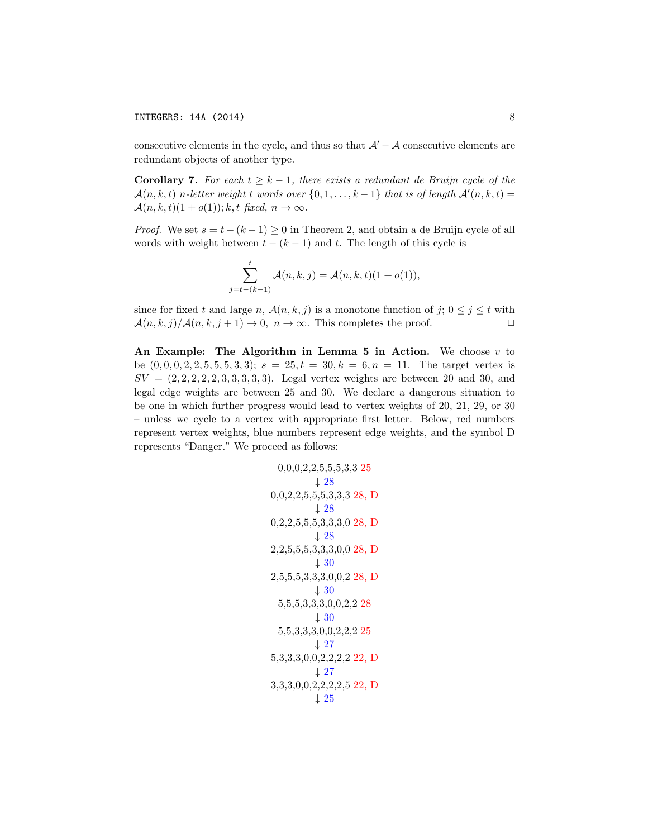consecutive elements in the cycle, and thus so that  $\mathcal{A}' - \mathcal{A}$  consecutive elements are redundant objects of another type.

Corollary 7. For each  $t \geq k - 1$ , there exists a redundant de Bruijn cycle of the  $\mathcal{A}(n,k,t)$  n-letter weight t words over  $\{0,1,\ldots,k-1\}$  that is of length  $\mathcal{A}'(n,k,t) =$  $\mathcal{A}(n, k, t)(1 + o(1)); k, t \text{ fixed}, n \to \infty.$ 

*Proof.* We set  $s = t - (k - 1) \ge 0$  in Theorem 2, and obtain a de Bruijn cycle of all words with weight between  $t - (k - 1)$  and t. The length of this cycle is

$$
\sum_{j=t-(k-1)}^{t} \mathcal{A}(n,k,j) = \mathcal{A}(n,k,t)(1+o(1)),
$$

since for fixed t and large n,  $\mathcal{A}(n, k, j)$  is a monotone function of  $j$ ;  $0 \leq j \leq t$  with  $\mathcal{A}(n, k, j)/\mathcal{A}(n, k, j+1) \to 0, n \to \infty$ . This completes the proof.

An Example: The Algorithm in Lemma 5 in Action. We choose  $v$  to be  $(0, 0, 0, 2, 2, 5, 5, 3, 3);$   $s = 25, t = 30, k = 6, n = 11$ . The target vertex is  $SV = (2, 2, 2, 2, 2, 3, 3, 3, 3, 3)$ . Legal vertex weights are between 20 and 30, and legal edge weights are between 25 and 30. We declare a dangerous situation to be one in which further progress would lead to vertex weights of 20, 21, 29, or 30 – unless we cycle to a vertex with appropriate first letter. Below, red numbers represent vertex weights, blue numbers represent edge weights, and the symbol D represents "Danger." We proceed as follows:

```
0,0,0,2,2,5,5,5,3,3 25
            ↓ 28
0,0,2,2,5,5,5,3,3,3 28, D
            \perp 280,2,2,5,5,5,3,3,3,0 28, D
            \downarrow 282,2,5,5,5,3,3,3,0,0 28, D
            \downarrow 302,5,5,5,3,3,3,0,0,2 28, D
            \downarrow 305,5,5,3,3,3,0,0,2,2 28
            \downarrow 305,5,3,3,3,0,0,2,2,2 25
            \downarrow 275,3,3,3,0,0,2,2,2,2 22, D
            \downarrow 273,3,3,0,0,2,2,2,2,5 22, D
            \downarrow 25
```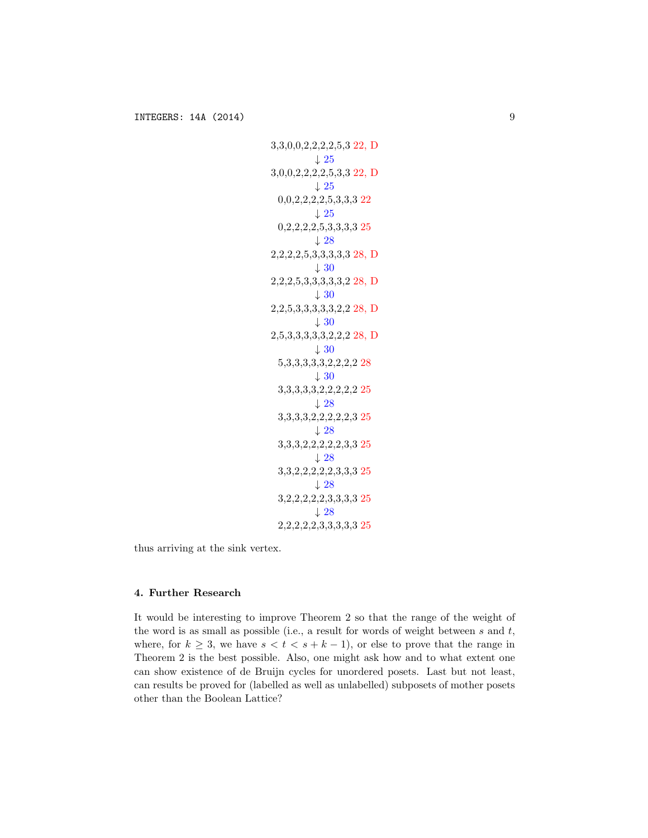```
3,3,0,0,2,2,2,2,5,3 22, D
            \perp 253,0,0,2,2,2,2,5,3,3 22, D
            \downarrow 250,0,2,2,2,2,5,3,3,3 22
            \downarrow 250,2,2,2,2,5,3,3,3,3 25
            ↓ 28
2,2,2,2,5,3,3,3,3,3 28, D
            \downarrow 302,2,2,5,3,3,3,3,3,2 28, D
            ↓ 30
2,2,5,3,3,3,3,3,2,2 28, D
            \downarrow 302,5,3,3,3,3,3,2,2,2 28, D
            ↓ 30
  5,3,3,3,3,3,2,2,2,2 28
            \downarrow 303,3,3,3,3,2,2,2,2,2 25
            \downarrow 283,3,3,3,2,2,2,2,2,3 25
            \downarrow 283,3,3,2,2,2,2,2,3,3 25
            \downarrow 283,3,2,2,2,2,2,3,3,3 25
            ↓ 28
  3,2,2,2,2,2,3,3,3,3 25
            \downarrow 282,2,2,2,2,3,3,3,3,3 25
```
thus arriving at the sink vertex.

## 4. Further Research

It would be interesting to improve Theorem 2 so that the range of the weight of the word is as small as possible (i.e., a result for words of weight between  $s$  and  $t$ , where, for  $k \geq 3$ , we have  $s < t < s + k - 1$ , or else to prove that the range in Theorem 2 is the best possible. Also, one might ask how and to what extent one can show existence of de Bruijn cycles for unordered posets. Last but not least, can results be proved for (labelled as well as unlabelled) subposets of mother posets other than the Boolean Lattice?